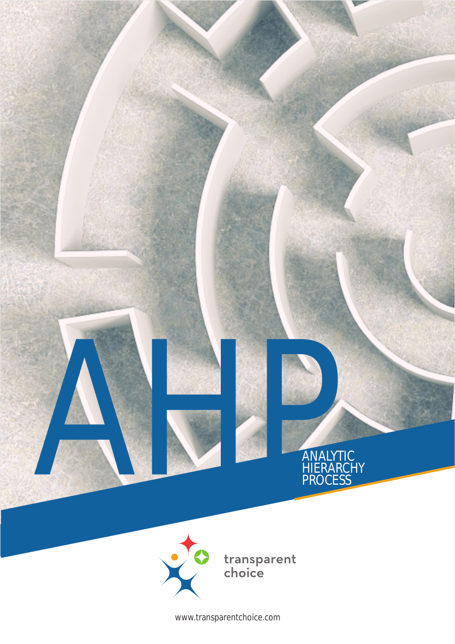

www.transparentchoice.com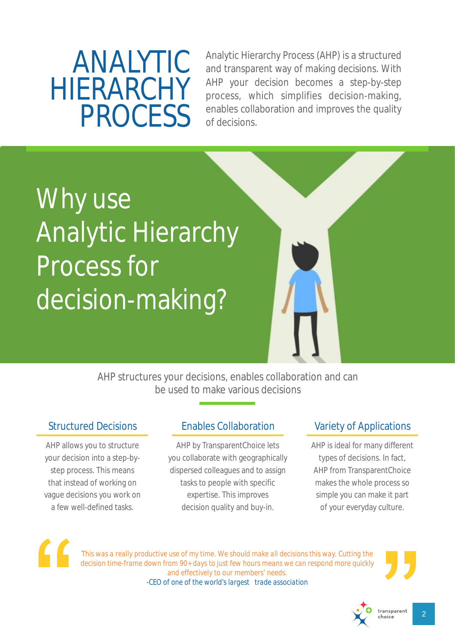# ANALYTIC HIERARCHY PROCESS

Analytic Hierarchy Process (AHP) is a structured and transparent way of making decisions. With AHP your decision becomes a step-by-step process, which simplifies decision-making, enables collaboration and improves the quality of decisions.

# Why use Analytic Hierarchy Process for decision-making?

AHP structures your decisions, enables collaboration and can be used to make various decisions

AHP allows you to structure your decision into a step-bystep process. This means that instead of working on vague decisions you work on a few well-defined tasks.

## Structured Decisions Enables Collaboration

AHP by TransparentChoice lets you collaborate with geographically dispersed colleagues and to assign tasks to people with specific expertise. This improves decision quality and buy-in.

## Variety of Applications

AHP is ideal for many different types of decisions. In fact, AHP from TransparentChoice makes the whole process so simple you can make it part of your everyday culture.



*This was a really productive use of my time. We should make all decisions this way. Cutting the decision time-frame down from 90+ days to just few hours means we can respond more quickly and effectively to our members' needs. -CEO of one of the world's largest trade association*



2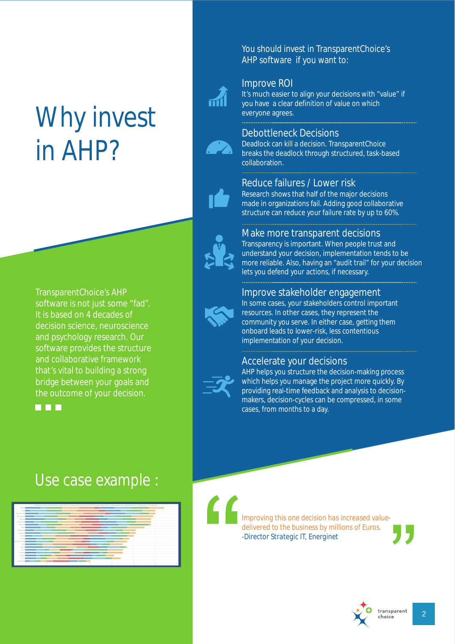# Why invest in AHP?

TransparentChoice's AHP software is not just some "fad". It is based on 4 decades of decision science, neuroscience and psychology research. Our software provides the structure and collaborative framework that's vital to building a strong bridge between your goals and the outcome of your decision.

**R R R** 

## Use case example :



You should invest in TransparentChoice's AHP software if you want to:

### Improve ROI



It's much easier to align your decisions with "value" if you have a clear definition of value on which everyone agrees.

## Debottleneck Decisions

Deadlock can kill a decision. TransparentChoice breaks the deadlock through structured, task-based collaboration.

### Reduce failures / Lower risk

Research shows that half of the major decisions made in organizations fail. Adding good collaborative structure can reduce your failure rate by up to 60%.



### Make more transparent decisions

Transparency is important. When people trust and understand your decision, implementation tends to be more reliable. Also, having an "audit trail" for your decision lets you defend your actions, if necessary.

### Improve stakeholder engagement



In some cases, your stakeholders control important resources. In other cases, they represent the community you serve. In either case, getting them onboard leads to lower-risk, less contentious implementation of your decision.

### Accelerate your decisions



AHP helps you structure the decision-making process which helps you manage the project more quickly. By providing real-time feedback and analysis to decisionmakers, decision-cycles can be compressed, in some cases, from months to a day.

*Improving this one decision has increased valuedelivered to the business by millions of Euros. -Director Strategic IT, Energinet*

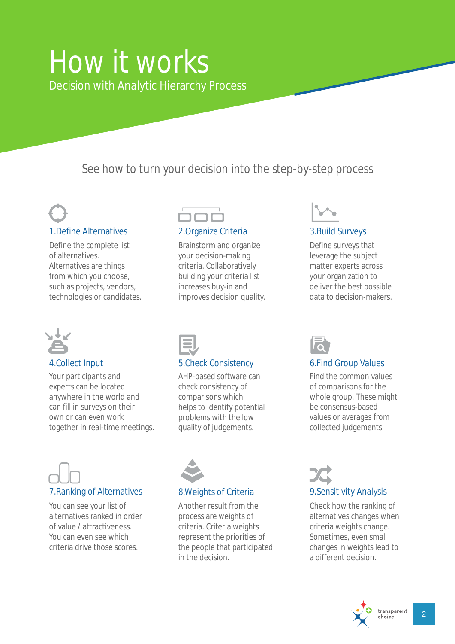## How it works Decision with Analytic Hierarchy Process

See how to turn your decision into the step-by-step process



1.Define Alternatives 2.Organize Criteria 3.Build Surveys

Define the complete list of alternatives. Alternatives are things from which you choose, such as projects, vendors, technologies or candidates.



Your participants and experts can be located anywhere in the world and can fill in surveys on their own or can even work together in real-time meetings.



Brainstorm and organize your decision-making criteria. Collaboratively building your criteria list increases buy-in and improves decision quality.



## 4.Collect Input 5.Check Consistency 6.Find Group Values

AHP-based software can check consistency of comparisons which helps to identify potential problems with the low quality of judgements.

## 7.Ranking of Alternatives 8.Weights of Criteria 9.Sensitivity Analysis

You can see your list of alternatives ranked in order of value / attractiveness. You can even see which criteria drive those scores.



Another result from the process are weights of criteria. Criteria weights represent the priorities of the people that participated in the decision.



Define surveys that leverage the subject matter experts across your organization to deliver the best possible data to decision-makers.



Find the common values of comparisons for the whole group. These might be consensus-based values or averages from collected judgements.

Check how the ranking of alternatives changes when criteria weights change. Sometimes, even small changes in weights lead to a different decision.

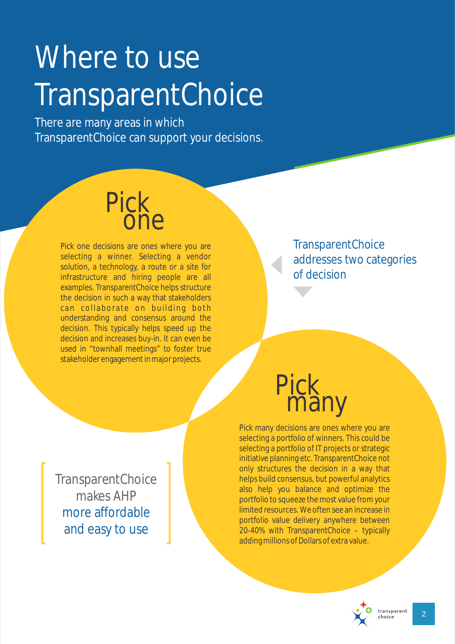# Where to use TransparentChoice

There are many areas in which TransparentChoice can support your decisions.

# Pick **one**

Pick one decisions are ones where you are selecting a winner. Selecting a vendor solution, a technology, a route or a site for infrastructure and hiring people are all examples. TransparentChoice helps structure the decision in such a way that stakeholders can collaborate on building both understanding and consensus around the decision. This typically helps speed up the decision and increases buy-in. It can even be used in "townhall meetings" to foster true stakeholder engagement in major projects.

**TransparentChoice** addresses two categories of decision

Pick many

Pick many decisions are ones where you are selecting a portfolio of winners. This could be selecting a portfolio of IT projects or strategic initiative planning etc. TransparentChoice not only structures the decision in a way that helps build consensus, but powerful analytics also help you balance and optimize the portfolio to squeeze the most value from your limited resources. We often see an increase in portfolio value delivery anywhere between 20-40% with TransparentChoice – typically adding millions of Dollars of extra value.



transparent

**TransparentChoice** makes AHP more affordable and easy to use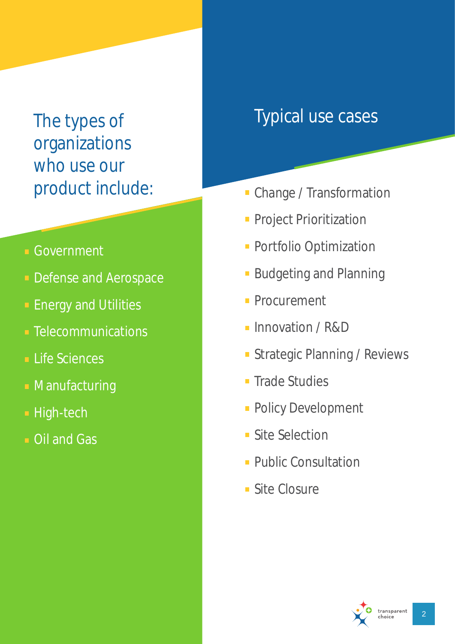# The types of organizations who use our

- **Government**
- **Defense and Aerospace**
- **Energy and Utilities**
- **Exercise Telecommunications**
- **Life Sciences**
- **Manufacturing**
- **High-tech**
- **Dil and Gas**

## Typical use cases

- product include:<br> **Change / Transformation** 
	- **Project Prioritization**
	- **Portfolio Optimization**
	- **Budgeting and Planning**
	- **Procurement**
	- **Innovation / R&D**
	- **Strategic Planning / Reviews**
	- **Trade Studies**
	- **Policy Development**
	- **Site Selection**
	- **Public Consultation**
	- **Site Closure**

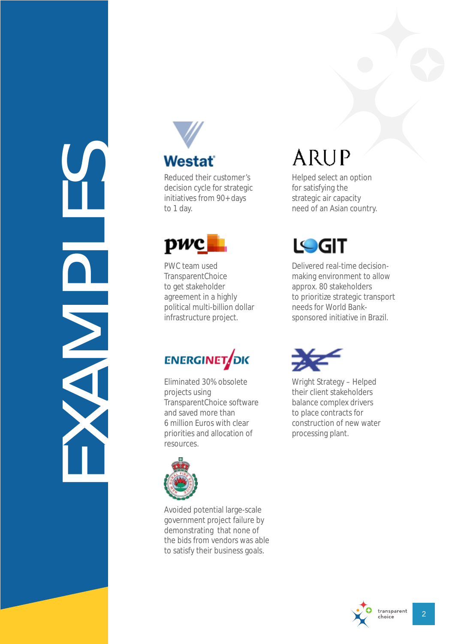EXAMPLES



## **Westat**

' s decision cycle for stra tegic initiatives from 90+ days to 1 day.



PWC team used<br>TransparentChoice<br>to get stakeholder agreement in a highly political multi-billion dollar Reduced their customer<br>decision cycle for strate<br>initiatives from 90+ days<br>to 1 day.<br>TransparentChoice<br>TransparentChoice<br>to get stakeholder<br>agreement in a highly<br>political multi-billion dol<br>infrastructure project.

# **ENERGINET**OK

Elimina ted 30% obsole te projects using<br>TransparentChoice software and saved more than 6 million Euros with clear



priorities and allocation of<br>resources.<br>Avoided potential large-scale<br>government project failure by demonstrating that none of<br>the bids from vendors was able to satisfy their business goals.

# **ARUP**

Helped select an option for satisfying the strategic air capacity need of an Asian country.



Delivered real-time decisionmaking environment to allow approx. 80 stakeholders to prioritize strategic transport needs for World Banksponsored initiative in Brazil.



Wright Strategy – Helped<br>their client stakeholders<br>balance complex drivers<br>to place contracts for<br>construction of new water<br>processing plant. their client stakeholders balance complex drivers to place contracts for construction of new water processing plant.